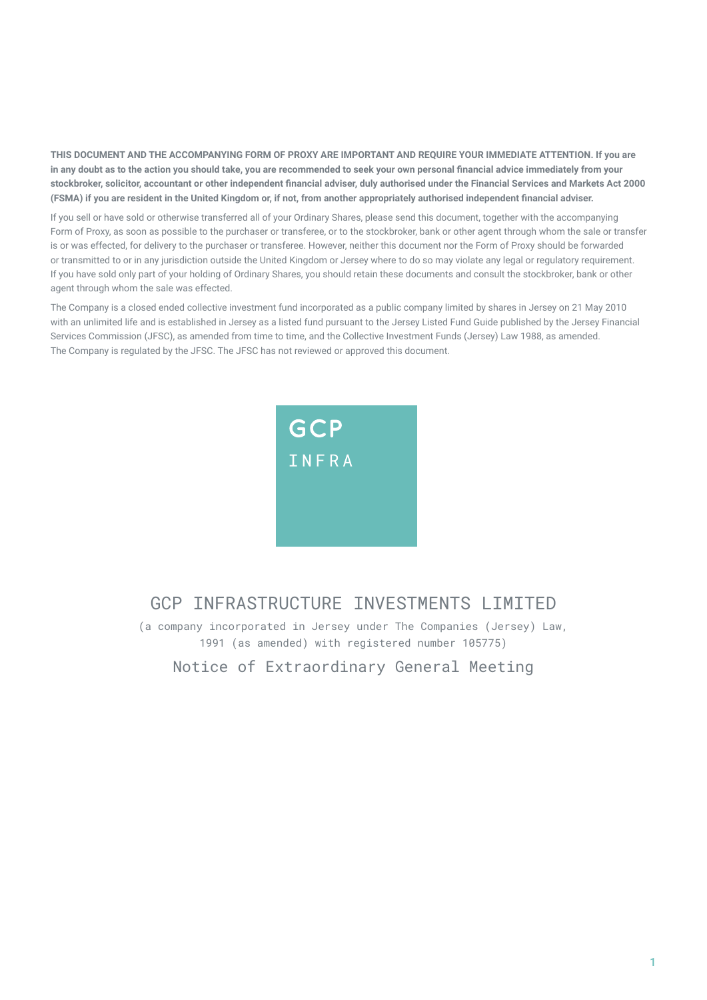**THIS DOCUMENT AND THE ACCOMPANYING FORM OF PROXY ARE IMPORTANT AND REQUIRE YOUR IMMEDIATE ATTENTION. If you are in any doubt as to the action you should take, you are recommended to seek your own personal financial advice immediately from your stockbroker, solicitor, accountant or other independent financial adviser, duly authorised under the Financial Services and Markets Act 2000 (FSMA) if you are resident in the United Kingdom or, if not, from another appropriately authorised independent financial adviser.**

If you sell or have sold or otherwise transferred all of your Ordinary Shares, please send this document, together with the accompanying Form of Proxy, as soon as possible to the purchaser or transferee, or to the stockbroker, bank or other agent through whom the sale or transfer is or was effected, for delivery to the purchaser or transferee. However, neither this document nor the Form of Proxy should be forwarded or transmitted to or in any jurisdiction outside the United Kingdom or Jersey where to do so may violate any legal or regulatory requirement. If you have sold only part of your holding of Ordinary Shares, you should retain these documents and consult the stockbroker, bank or other agent through whom the sale was effected.

The Company is a closed ended collective investment fund incorporated as a public company limited by shares in Jersey on 21 May 2010 with an unlimited life and is established in Jersey as a listed fund pursuant to the Jersey Listed Fund Guide published by the Jersey Financial Services Commission (JFSC), as amended from time to time, and the Collective Investment Funds (Jersey) Law 1988, as amended. The Company is regulated by the JFSC. The JFSC has not reviewed or approved this document.



# GCP INFRASTRUCTURE INVESTMENTS LIMITED

(a company incorporated in Jersey under The Companies (Jersey) Law, 1991 (as amended) with registered number 105775)

Notice of Extraordinary General Meeting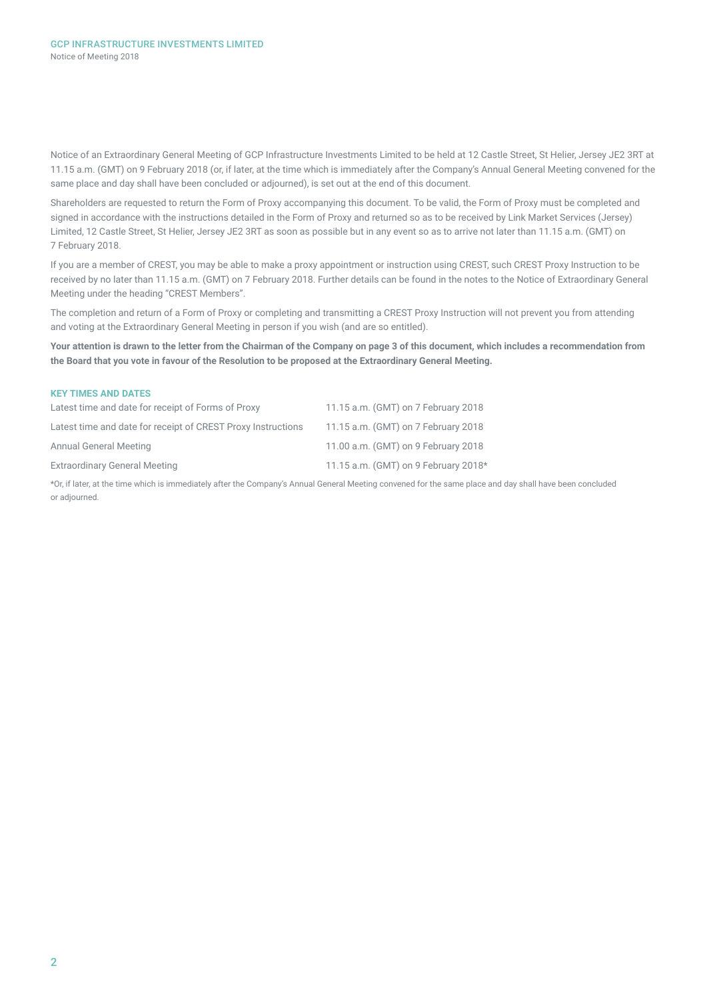Notice of an Extraordinary General Meeting of GCP Infrastructure Investments Limited to be held at 12 Castle Street, St Helier, Jersey JE2 3RT at 11.15 a.m. (GMT) on 9 February 2018 (or, if later, at the time which is immediately after the Company's Annual General Meeting convened for the same place and day shall have been concluded or adjourned), is set out at the end of this document.

Shareholders are requested to return the Form of Proxy accompanying this document. To be valid, the Form of Proxy must be completed and signed in accordance with the instructions detailed in the Form of Proxy and returned so as to be received by Link Market Services (Jersey) Limited, 12 Castle Street, St Helier, Jersey JE2 3RT as soon as possible but in any event so as to arrive not later than 11.15 a.m. (GMT) on 7 February 2018.

If you are a member of CREST, you may be able to make a proxy appointment or instruction using CREST, such CREST Proxy Instruction to be received by no later than 11.15 a.m. (GMT) on 7 February 2018. Further details can be found in the notes to the Notice of Extraordinary General Meeting under the heading "CREST Members".

The completion and return of a Form of Proxy or completing and transmitting a CREST Proxy Instruction will not prevent you from attending and voting at the Extraordinary General Meeting in person if you wish (and are so entitled).

**Your attention is drawn to the letter from the Chairman of the Company on page 3 of this document, which includes a recommendation from the Board that you vote in favour of the Resolution to be proposed at the Extraordinary General Meeting.** 

| <b>KEY TIMES AND DATES</b>                                   |                                      |
|--------------------------------------------------------------|--------------------------------------|
| Latest time and date for receipt of Forms of Proxy           | 11.15 a.m. (GMT) on 7 February 2018  |
| Latest time and date for receipt of CREST Proxy Instructions | 11.15 a.m. (GMT) on 7 February 2018  |
| <b>Annual General Meeting</b>                                | 11.00 a.m. (GMT) on 9 February 2018  |
| <b>Extraordinary General Meeting</b>                         | 11.15 a.m. (GMT) on 9 February 2018* |
|                                                              |                                      |

\*Or, if later, at the time which is immediately after the Company's Annual General Meeting convened for the same place and day shall have been concluded or adjourned.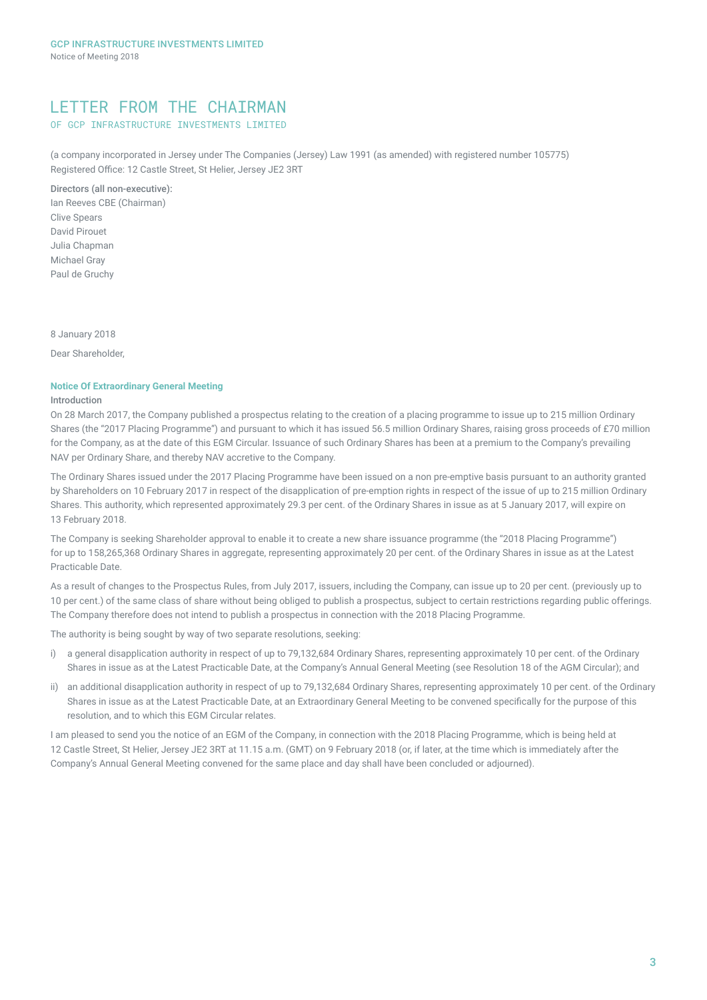## LETTER FROM THE CHAIRMAN

## OF GCP INFRASTRUCTURE INVESTMENTS LIMITED

(a company incorporated in Jersey under The Companies (Jersey) Law 1991 (as amended) with registered number 105775) Registered Office: 12 Castle Street, St Helier, Jersey JE2 3RT

### Directors (all non-executive):

Ian Reeves CBE (Chairman) Clive Spears David Pirouet Julia Chapman Michael Gray Paul de Gruchy

8 January 2018

Dear Shareholder,

### **Notice Of Extraordinary General Meeting**

### Introduction

On 28 March 2017, the Company published a prospectus relating to the creation of a placing programme to issue up to 215 million Ordinary Shares (the "2017 Placing Programme") and pursuant to which it has issued 56.5 million Ordinary Shares, raising gross proceeds of £70 million for the Company, as at the date of this EGM Circular. Issuance of such Ordinary Shares has been at a premium to the Company's prevailing NAV per Ordinary Share, and thereby NAV accretive to the Company.

The Ordinary Shares issued under the 2017 Placing Programme have been issued on a non pre-emptive basis pursuant to an authority granted by Shareholders on 10 February 2017 in respect of the disapplication of pre-emption rights in respect of the issue of up to 215 million Ordinary Shares. This authority, which represented approximately 29.3 per cent. of the Ordinary Shares in issue as at 5 January 2017, will expire on 13 February 2018.

The Company is seeking Shareholder approval to enable it to create a new share issuance programme (the "2018 Placing Programme") for up to 158,265,368 Ordinary Shares in aggregate, representing approximately 20 per cent. of the Ordinary Shares in issue as at the Latest Practicable Date.

As a result of changes to the Prospectus Rules, from July 2017, issuers, including the Company, can issue up to 20 per cent. (previously up to 10 per cent.) of the same class of share without being obliged to publish a prospectus, subject to certain restrictions regarding public offerings. The Company therefore does not intend to publish a prospectus in connection with the 2018 Placing Programme.

The authority is being sought by way of two separate resolutions, seeking:

- i) a general disapplication authority in respect of up to 79,132,684 Ordinary Shares, representing approximately 10 per cent. of the Ordinary Shares in issue as at the Latest Practicable Date, at the Company's Annual General Meeting (see Resolution 18 of the AGM Circular); and
- ii) an additional disapplication authority in respect of up to 79,132,684 Ordinary Shares, representing approximately 10 per cent. of the Ordinary Shares in issue as at the Latest Practicable Date, at an Extraordinary General Meeting to be convened specifically for the purpose of this resolution, and to which this EGM Circular relates.

I am pleased to send you the notice of an EGM of the Company, in connection with the 2018 Placing Programme, which is being held at 12 Castle Street, St Helier, Jersey JE2 3RT at 11.15 a.m. (GMT) on 9 February 2018 (or, if later, at the time which is immediately after the Company's Annual General Meeting convened for the same place and day shall have been concluded or adjourned).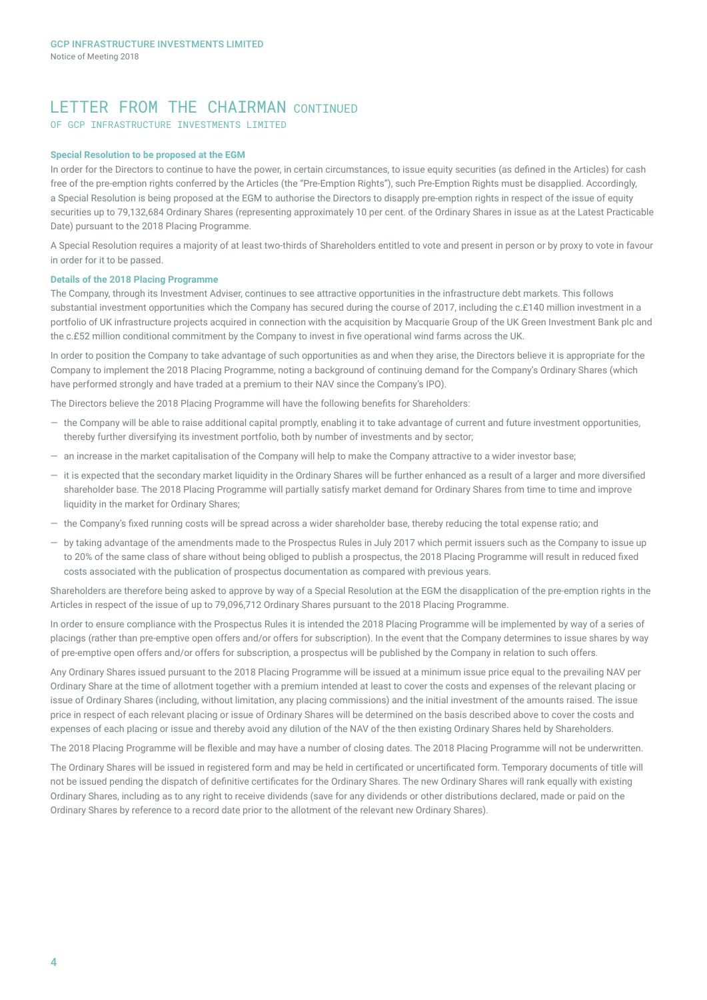## LETTER FROM THE CHAIRMAN CONTINUED

OF GCP INFRASTRUCTURE INVESTMENTS LIMITED

#### **Special Resolution to be proposed at the EGM**

In order for the Directors to continue to have the power, in certain circumstances, to issue equity securities (as defined in the Articles) for cash free of the pre-emption rights conferred by the Articles (the "Pre-Emption Rights"), such Pre-Emption Rights must be disapplied. Accordingly, a Special Resolution is being proposed at the EGM to authorise the Directors to disapply pre-emption rights in respect of the issue of equity securities up to 79,132,684 Ordinary Shares (representing approximately 10 per cent. of the Ordinary Shares in issue as at the Latest Practicable Date) pursuant to the 2018 Placing Programme.

A Special Resolution requires a majority of at least two-thirds of Shareholders entitled to vote and present in person or by proxy to vote in favour in order for it to be passed.

#### **Details of the 2018 Placing Programme**

The Company, through its Investment Adviser, continues to see attractive opportunities in the infrastructure debt markets. This follows substantial investment opportunities which the Company has secured during the course of 2017, including the c.£140 million investment in a portfolio of UK infrastructure projects acquired in connection with the acquisition by Macquarie Group of the UK Green Investment Bank plc and the c.£52 million conditional commitment by the Company to invest in five operational wind farms across the UK.

In order to position the Company to take advantage of such opportunities as and when they arise, the Directors believe it is appropriate for the Company to implement the 2018 Placing Programme, noting a background of continuing demand for the Company's Ordinary Shares (which have performed strongly and have traded at a premium to their NAV since the Company's IPO).

The Directors believe the 2018 Placing Programme will have the following benefits for Shareholders:

- ― the Company will be able to raise additional capital promptly, enabling it to take advantage of current and future investment opportunities, thereby further diversifying its investment portfolio, both by number of investments and by sector;
- ― an increase in the market capitalisation of the Company will help to make the Company attractive to a wider investor base;
- ― it is expected that the secondary market liquidity in the Ordinary Shares will be further enhanced as a result of a larger and more diversified shareholder base. The 2018 Placing Programme will partially satisfy market demand for Ordinary Shares from time to time and improve liquidity in the market for Ordinary Shares;
- ― the Company's fixed running costs will be spread across a wider shareholder base, thereby reducing the total expense ratio; and
- ― by taking advantage of the amendments made to the Prospectus Rules in July 2017 which permit issuers such as the Company to issue up to 20% of the same class of share without being obliged to publish a prospectus, the 2018 Placing Programme will result in reduced fixed costs associated with the publication of prospectus documentation as compared with previous years.

Shareholders are therefore being asked to approve by way of a Special Resolution at the EGM the disapplication of the pre-emption rights in the Articles in respect of the issue of up to 79,096,712 Ordinary Shares pursuant to the 2018 Placing Programme.

In order to ensure compliance with the Prospectus Rules it is intended the 2018 Placing Programme will be implemented by way of a series of placings (rather than pre-emptive open offers and/or offers for subscription). In the event that the Company determines to issue shares by way of pre-emptive open offers and/or offers for subscription, a prospectus will be published by the Company in relation to such offers.

Any Ordinary Shares issued pursuant to the 2018 Placing Programme will be issued at a minimum issue price equal to the prevailing NAV per Ordinary Share at the time of allotment together with a premium intended at least to cover the costs and expenses of the relevant placing or issue of Ordinary Shares (including, without limitation, any placing commissions) and the initial investment of the amounts raised. The issue price in respect of each relevant placing or issue of Ordinary Shares will be determined on the basis described above to cover the costs and expenses of each placing or issue and thereby avoid any dilution of the NAV of the then existing Ordinary Shares held by Shareholders.

The 2018 Placing Programme will be flexible and may have a number of closing dates. The 2018 Placing Programme will not be underwritten.

The Ordinary Shares will be issued in registered form and may be held in certificated or uncertificated form. Temporary documents of title will not be issued pending the dispatch of definitive certificates for the Ordinary Shares. The new Ordinary Shares will rank equally with existing Ordinary Shares, including as to any right to receive dividends (save for any dividends or other distributions declared, made or paid on the Ordinary Shares by reference to a record date prior to the allotment of the relevant new Ordinary Shares).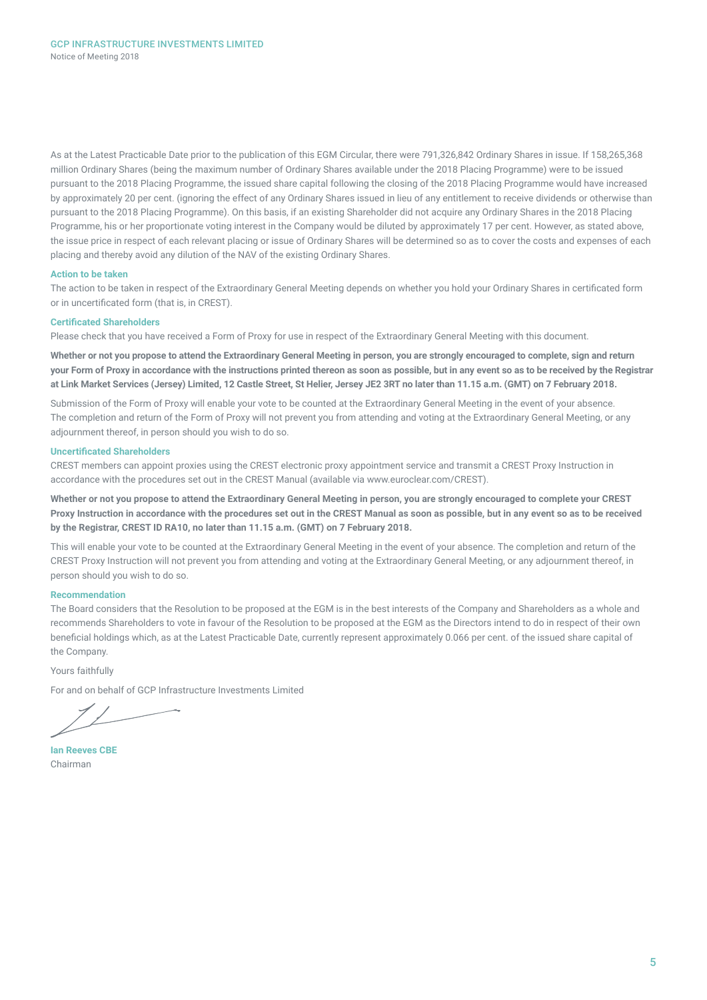As at the Latest Practicable Date prior to the publication of this EGM Circular, there were 791,326,842 Ordinary Shares in issue. If 158,265,368 million Ordinary Shares (being the maximum number of Ordinary Shares available under the 2018 Placing Programme) were to be issued pursuant to the 2018 Placing Programme, the issued share capital following the closing of the 2018 Placing Programme would have increased by approximately 20 per cent. (ignoring the effect of any Ordinary Shares issued in lieu of any entitlement to receive dividends or otherwise than pursuant to the 2018 Placing Programme). On this basis, if an existing Shareholder did not acquire any Ordinary Shares in the 2018 Placing Programme, his or her proportionate voting interest in the Company would be diluted by approximately 17 per cent. However, as stated above, the issue price in respect of each relevant placing or issue of Ordinary Shares will be determined so as to cover the costs and expenses of each placing and thereby avoid any dilution of the NAV of the existing Ordinary Shares.

#### **Action to be taken**

The action to be taken in respect of the Extraordinary General Meeting depends on whether you hold your Ordinary Shares in certificated form or in uncertificated form (that is, in CREST).

#### **Certificated Shareholders**

Please check that you have received a Form of Proxy for use in respect of the Extraordinary General Meeting with this document.

**Whether or not you propose to attend the Extraordinary General Meeting in person, you are strongly encouraged to complete, sign and return your Form of Proxy in accordance with the instructions printed thereon as soon as possible, but in any event so as to be received by the Registrar at Link Market Services (Jersey) Limited, 12 Castle Street, St Helier, Jersey JE2 3RT no later than 11.15 a.m. (GMT) on 7 February 2018.**

Submission of the Form of Proxy will enable your vote to be counted at the Extraordinary General Meeting in the event of your absence. The completion and return of the Form of Proxy will not prevent you from attending and voting at the Extraordinary General Meeting, or any adjournment thereof, in person should you wish to do so.

#### **Uncertificated Shareholders**

CREST members can appoint proxies using the CREST electronic proxy appointment service and transmit a CREST Proxy Instruction in accordance with the procedures set out in the CREST Manual (available via www.euroclear.com/CREST).

**Whether or not you propose to attend the Extraordinary General Meeting in person, you are strongly encouraged to complete your CREST Proxy Instruction in accordance with the procedures set out in the CREST Manual as soon as possible, but in any event so as to be received by the Registrar, CREST ID RA10, no later than 11.15 a.m. (GMT) on 7 February 2018.**

This will enable your vote to be counted at the Extraordinary General Meeting in the event of your absence. The completion and return of the CREST Proxy Instruction will not prevent you from attending and voting at the Extraordinary General Meeting, or any adjournment thereof, in person should you wish to do so.

### **Recommendation**

The Board considers that the Resolution to be proposed at the EGM is in the best interests of the Company and Shareholders as a whole and recommends Shareholders to vote in favour of the Resolution to be proposed at the EGM as the Directors intend to do in respect of their own beneficial holdings which, as at the Latest Practicable Date, currently represent approximately 0.066 per cent. of the issued share capital of the Company.

Yours faithfully

For and on behalf of GCP Infrastructure Investments Limited

**Ian Reeves CBE** Chairman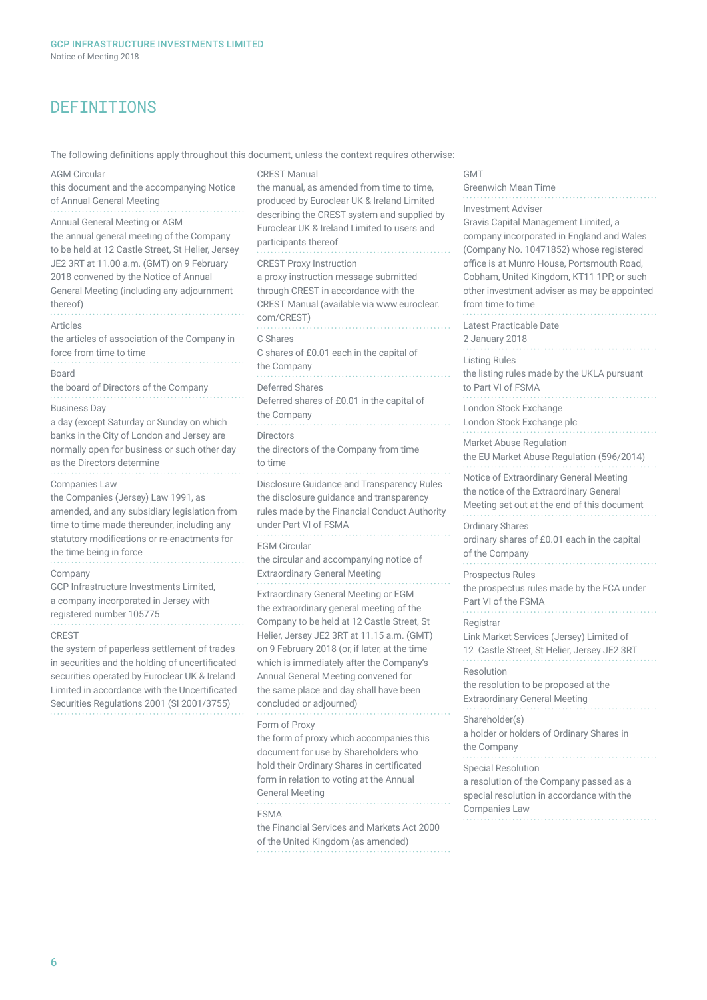## DEFINITIONS

The following definitions apply throughout this document, unless the context requires otherwise:

#### AGM Circular this document and the accompanying Notice of Annual General Meeting Annual General Meeting or AGM the annual general meeting of the Company to be held at 12 Castle Street, St Helier, Jersey JE2 3RT at 11.00 a.m. (GMT) on 9 February 2018 convened by the Notice of Annual General Meeting (including any adjournment thereof) Articles the articles of association of the Company in force from time to time Board the board of Directors of the Company Business Day a day (except Saturday or Sunday on which banks in the City of London and Jersey are normally open for business or such other day as the Directors determine Companies Law the Companies (Jersey) Law 1991, as amended, and any subsidiary legislation from time to time made thereunder, including any statutory modifications or re-enactments for the time being in force Company GCP Infrastructure Investments Limited, a company incorporated in Jersey with registered number 105775 CREST the system of paperless settlement of trades in securities and the holding of uncertificated securities operated by Euroclear UK & Ireland Limited in accordance with the Uncertificated Securities Regulations 2001 (SI 2001/3755) CREST Manual the manual, as amended from time to time, produced by Euroclear UK & Ireland Limited describing the CREST system and supplied by Euroclear UK & Ireland Limited to users and participants thereof CREST Proxy Instruction a proxy instruction message submitted through CREST in accordance with the CREST Manual (available via www.euroclear. com/CREST) C Shares C shares of £0.01 each in the capital of the Company Deferred Shares Deferred shares of £0.01 in the capital of the Company Directors the directors of the Company from time to time

Disclosure Guidance and Transparency Rules the disclosure guidance and transparency rules made by the Financial Conduct Authority under Part VI of FSMA EGM Circular the circular and accompanying notice of Extraordinary General Meeting Extraordinary General Meeting or EGM the extraordinary general meeting of the Company to be held at 12 Castle Street, St Helier, Jersey JE2 3RT at 11.15 a.m. (GMT) on 9 February 2018 (or, if later, at the time which is immediately after the Company's Annual General Meeting convened for the same place and day shall have been concluded or adjourned) Form of Proxy the form of proxy which accompanies this document for use by Shareholders who hold their Ordinary Shares in certificated form in relation to voting at the Annual General Meeting FSMA the Financial Services and Markets Act 2000 of the United Kingdom (as amended)

#### GMT

Greenwich Mean Time Investment Adviser Gravis Capital Management Limited, a company incorporated in England and Wales (Company No. 10471852) whose registered office is at Munro House, Portsmouth Road, Cobham, United Kingdom, KT11 1PP, or such other investment adviser as may be appointed from time to time Latest Practicable Date 2 January 2018 Listing Rules the listing rules made by the UKLA pursuant to Part VI of FSMA London Stock Exchange London Stock Exchange plc Market Abuse Regulation the EU Market Abuse Regulation (596/2014) Notice of Extraordinary General Meeting the notice of the Extraordinary General Meeting set out at the end of this document Ordinary Shares ordinary shares of £0.01 each in the capital of the Company Prospectus Rules the prospectus rules made by the FCA under Part VI of the FSMA **Registrar** Link Market Services (Jersey) Limited of 12 Castle Street, St Helier, Jersey JE2 3RT Resolution the resolution to be proposed at the Extraordinary General Meeting Shareholder(s) a holder or holders of Ordinary Shares in the Company Special Resolution a resolution of the Company passed as a special resolution in accordance with the Companies Law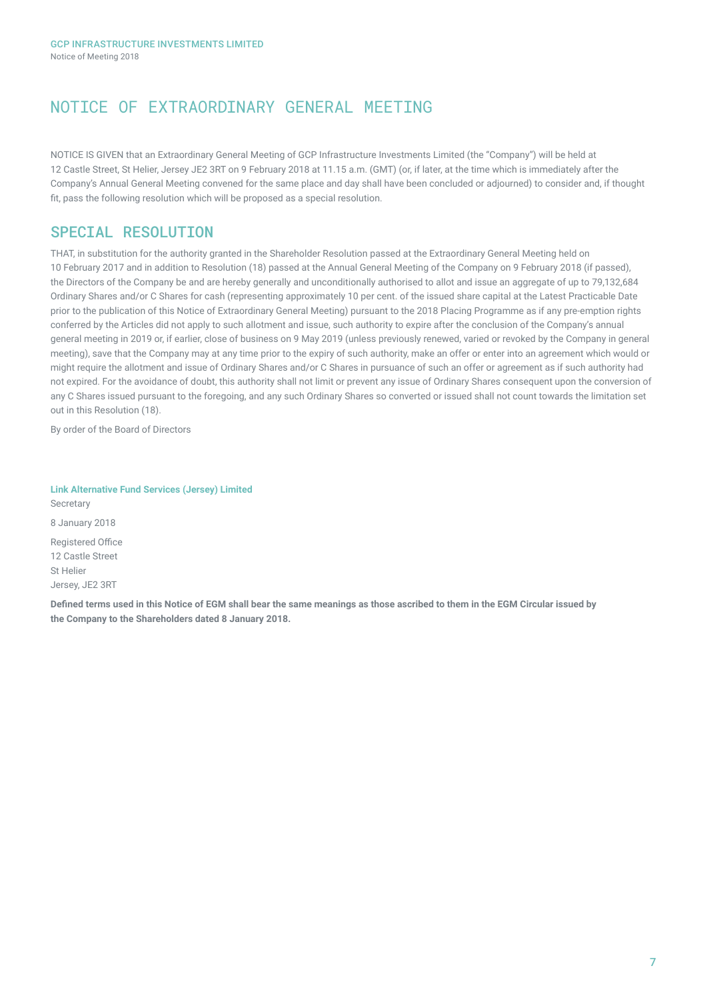# NOTICE OF EXTRAORDINARY GENERAL MEETING

NOTICE IS GIVEN that an Extraordinary General Meeting of GCP Infrastructure Investments Limited (the "Company") will be held at 12 Castle Street, St Helier, Jersey JE2 3RT on 9 February 2018 at 11.15 a.m. (GMT) (or, if later, at the time which is immediately after the Company's Annual General Meeting convened for the same place and day shall have been concluded or adjourned) to consider and, if thought fit, pass the following resolution which will be proposed as a special resolution.

## SPECIAL RESOLUTION

THAT, in substitution for the authority granted in the Shareholder Resolution passed at the Extraordinary General Meeting held on 10 February 2017 and in addition to Resolution (18) passed at the Annual General Meeting of the Company on 9 February 2018 (if passed), the Directors of the Company be and are hereby generally and unconditionally authorised to allot and issue an aggregate of up to 79,132,684 Ordinary Shares and/or C Shares for cash (representing approximately 10 per cent. of the issued share capital at the Latest Practicable Date prior to the publication of this Notice of Extraordinary General Meeting) pursuant to the 2018 Placing Programme as if any pre-emption rights conferred by the Articles did not apply to such allotment and issue, such authority to expire after the conclusion of the Company's annual general meeting in 2019 or, if earlier, close of business on 9 May 2019 (unless previously renewed, varied or revoked by the Company in general meeting), save that the Company may at any time prior to the expiry of such authority, make an offer or enter into an agreement which would or might require the allotment and issue of Ordinary Shares and/or C Shares in pursuance of such an offer or agreement as if such authority had not expired. For the avoidance of doubt, this authority shall not limit or prevent any issue of Ordinary Shares consequent upon the conversion of any C Shares issued pursuant to the foregoing, and any such Ordinary Shares so converted or issued shall not count towards the limitation set out in this Resolution (18).

By order of the Board of Directors

**Link Alternative Fund Services (Jersey) Limited** Secretary 8 January 2018 Registered Office 12 Castle Street St Helier Jersey, JE2 3RT

**Defined terms used in this Notice of EGM shall bear the same meanings as those ascribed to them in the EGM Circular issued by the Company to the Shareholders dated 8 January 2018.**